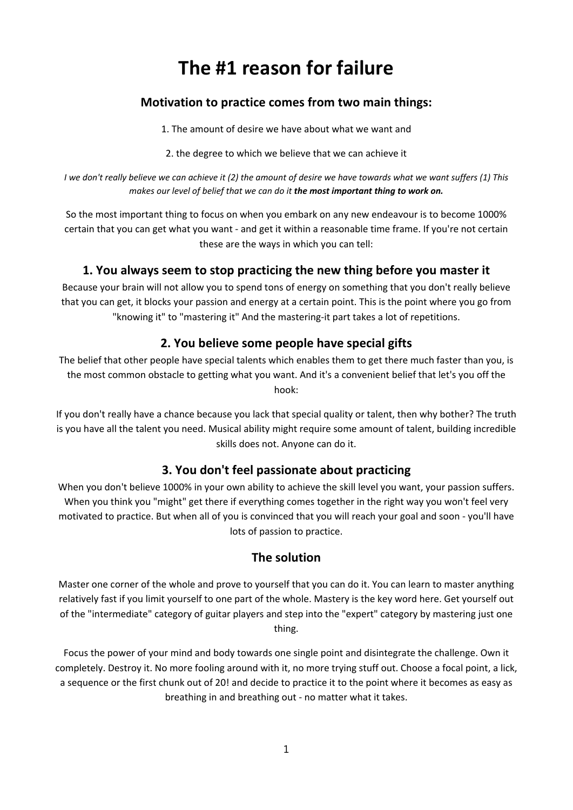# **The #1 reason for failure**

## **Motivation to practice comes from two main things:**

1. The amount of desire we have about what we want and

2. the degree to which we believe that we can achieve it

I we don't really believe we can achieve it (2) the amount of desire we have towards what we want suffers (1) This *makes our level of belief that we can do it the most important thing to work on.*

So the most important thing to focus on when you embark on any new endeavour is to become 1000% certain that you can get what you want ‐ and get it within a reasonable time frame. If you're not certain these are the ways in which you can tell:

#### **1. You always seem to stop practicing the new thing before you master it**

Because your brain will not allow you to spend tons of energy on something that you don't really believe that you can get, it blocks your passion and energy at a certain point. This is the point where you go from "knowing it" to "mastering it" And the mastering‐it part takes a lot of repetitions.

### **2. You believe some people have special gifts**

The belief that other people have special talents which enables them to get there much faster than you, is the most common obstacle to getting what you want. And it's a convenient belief that let's you off the hook:

If you don't really have a chance because you lack that special quality or talent, then why bother? The truth is you have all the talent you need. Musical ability might require some amount of talent, building incredible skills does not. Anyone can do it.

#### **3. You don't feel passionate about practicing**

When you don't believe 1000% in your own ability to achieve the skill level you want, your passion suffers. When you think you "might" get there if everything comes together in the right way you won't feel very motivated to practice. But when all of you is convinced that you will reach your goal and soon ‐ you'll have lots of passion to practice.

#### **The solution**

Master one corner of the whole and prove to yourself that you can do it. You can learn to master anything relatively fast if you limit yourself to one part of the whole. Mastery is the key word here. Get yourself out of the "intermediate" category of guitar players and step into the "expert" category by mastering just one thing.

Focus the power of your mind and body towards one single point and disintegrate the challenge. Own it completely. Destroy it. No more fooling around with it, no more trying stuff out. Choose a focal point, a lick, a sequence or the first chunk out of 20! and decide to practice it to the point where it becomes as easy as breathing in and breathing out ‐ no matter what it takes.